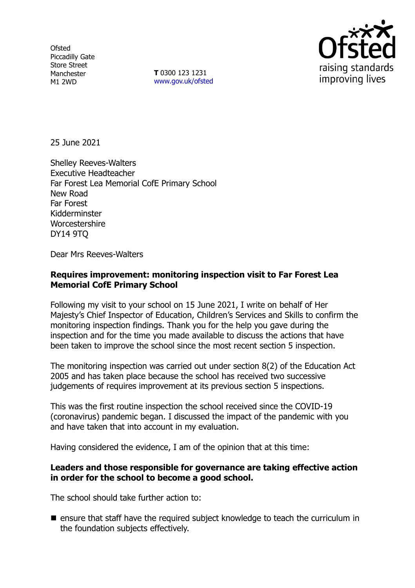**Ofsted** Piccadilly Gate Store Street Manchester M1 2WD

**T** 0300 123 1231 [www.gov.uk/ofsted](http://www.gov.uk/ofsted)



25 June 2021

Shelley Reeves-Walters Executive Headteacher Far Forest Lea Memorial CofE Primary School New Road Far Forest Kidderminster Worcestershire DY14 9TQ

Dear Mrs Reeves-Walters

# **Requires improvement: monitoring inspection visit to Far Forest Lea Memorial CofE Primary School**

Following my visit to your school on 15 June 2021, I write on behalf of Her Majesty's Chief Inspector of Education, Children's Services and Skills to confirm the monitoring inspection findings. Thank you for the help you gave during the inspection and for the time you made available to discuss the actions that have been taken to improve the school since the most recent section 5 inspection.

The monitoring inspection was carried out under section 8(2) of the Education Act 2005 and has taken place because the school has received two successive judgements of requires improvement at its previous section 5 inspections.

This was the first routine inspection the school received since the COVID-19 (coronavirus) pandemic began. I discussed the impact of the pandemic with you and have taken that into account in my evaluation.

Having considered the evidence, I am of the opinion that at this time:

### **Leaders and those responsible for governance are taking effective action in order for the school to become a good school.**

The school should take further action to:

 $\blacksquare$  ensure that staff have the required subject knowledge to teach the curriculum in the foundation subjects effectively.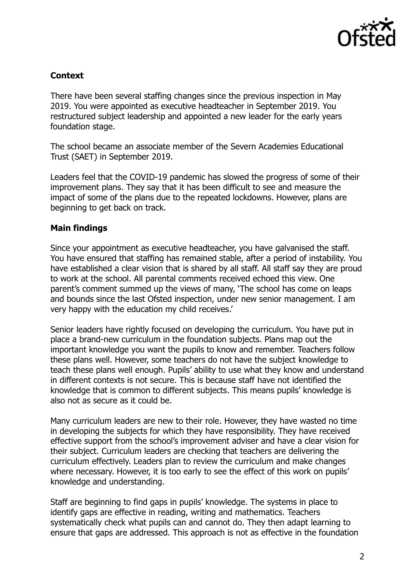

## **Context**

There have been several staffing changes since the previous inspection in May 2019. You were appointed as executive headteacher in September 2019. You restructured subject leadership and appointed a new leader for the early years foundation stage.

The school became an associate member of the Severn Academies Educational Trust (SAET) in September 2019.

Leaders feel that the COVID-19 pandemic has slowed the progress of some of their improvement plans. They say that it has been difficult to see and measure the impact of some of the plans due to the repeated lockdowns. However, plans are beginning to get back on track.

### **Main findings**

Since your appointment as executive headteacher, you have galvanised the staff. You have ensured that staffing has remained stable, after a period of instability. You have established a clear vision that is shared by all staff. All staff say they are proud to work at the school. All parental comments received echoed this view. One parent's comment summed up the views of many, 'The school has come on leaps and bounds since the last Ofsted inspection, under new senior management. I am very happy with the education my child receives.'

Senior leaders have rightly focused on developing the curriculum. You have put in place a brand-new curriculum in the foundation subjects. Plans map out the important knowledge you want the pupils to know and remember. Teachers follow these plans well. However, some teachers do not have the subject knowledge to teach these plans well enough. Pupils' ability to use what they know and understand in different contexts is not secure. This is because staff have not identified the knowledge that is common to different subjects. This means pupils' knowledge is also not as secure as it could be.

Many curriculum leaders are new to their role. However, they have wasted no time in developing the subjects for which they have responsibility. They have received effective support from the school's improvement adviser and have a clear vision for their subject. Curriculum leaders are checking that teachers are delivering the curriculum effectively. Leaders plan to review the curriculum and make changes where necessary. However, it is too early to see the effect of this work on pupils' knowledge and understanding.

Staff are beginning to find gaps in pupils' knowledge. The systems in place to identify gaps are effective in reading, writing and mathematics. Teachers systematically check what pupils can and cannot do. They then adapt learning to ensure that gaps are addressed. This approach is not as effective in the foundation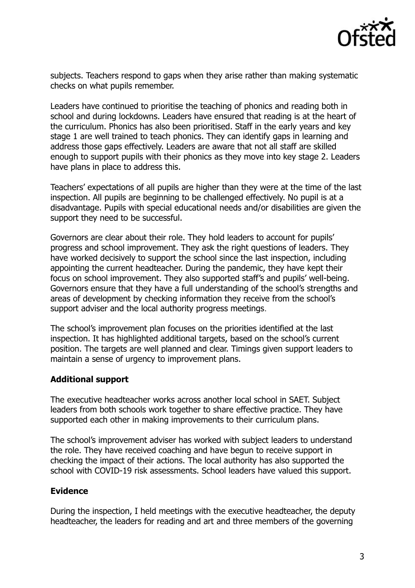

subjects. Teachers respond to gaps when they arise rather than making systematic checks on what pupils remember.

Leaders have continued to prioritise the teaching of phonics and reading both in school and during lockdowns. Leaders have ensured that reading is at the heart of the curriculum. Phonics has also been prioritised. Staff in the early years and key stage 1 are well trained to teach phonics. They can identify gaps in learning and address those gaps effectively. Leaders are aware that not all staff are skilled enough to support pupils with their phonics as they move into key stage 2. Leaders have plans in place to address this.

Teachers' expectations of all pupils are higher than they were at the time of the last inspection. All pupils are beginning to be challenged effectively. No pupil is at a disadvantage. Pupils with special educational needs and/or disabilities are given the support they need to be successful.

Governors are clear about their role. They hold leaders to account for pupils' progress and school improvement. They ask the right questions of leaders. They have worked decisively to support the school since the last inspection, including appointing the current headteacher. During the pandemic, they have kept their focus on school improvement. They also supported staff's and pupils' well-being. Governors ensure that they have a full understanding of the school's strengths and areas of development by checking information they receive from the school's support adviser and the local authority progress meetings.

The school's improvement plan focuses on the priorities identified at the last inspection. It has highlighted additional targets, based on the school's current position. The targets are well planned and clear. Timings given support leaders to maintain a sense of urgency to improvement plans.

### **Additional support**

The executive headteacher works across another local school in SAET. Subject leaders from both schools work together to share effective practice. They have supported each other in making improvements to their curriculum plans.

The school's improvement adviser has worked with subject leaders to understand the role. They have received coaching and have begun to receive support in checking the impact of their actions. The local authority has also supported the school with COVID-19 risk assessments. School leaders have valued this support.

#### **Evidence**

During the inspection, I held meetings with the executive headteacher, the deputy headteacher, the leaders for reading and art and three members of the governing